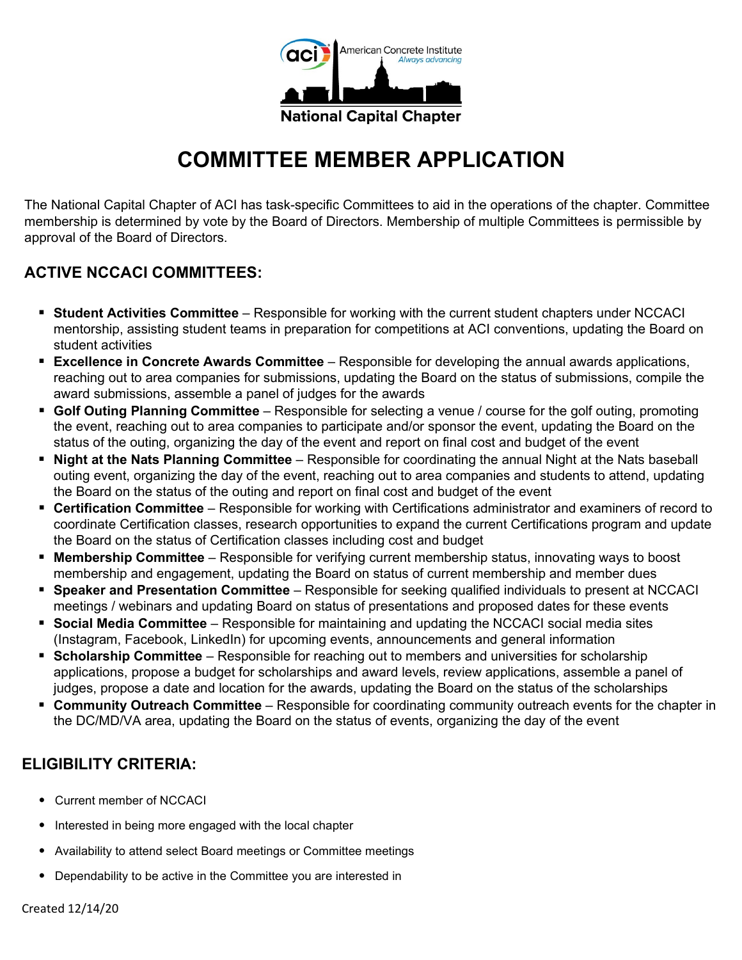

## **COMMITTEE MEMBER APPLICATION**

The National Capital Chapter of ACI has task-specific Committees to aid in the operations of the chapter. Committee membership is determined by vote by the Board of Directors. Membership of multiple Committees is permissible by approval of the Board of Directors.

## **ACTIVE NCCACI COMMITTEES:**

- **Student Activities Committee** Responsible for working with the current student chapters under NCCACI mentorship, assisting student teams in preparation for competitions at ACI conventions, updating the Board on student activities
- **Excellence in Concrete Awards Committee** Responsible for developing the annual awards applications, reaching out to area companies for submissions, updating the Board on the status of submissions, compile the award submissions, assemble a panel of judges for the awards
- **Golf Outing Planning Committee** Responsible for selecting a venue / course for the golf outing, promoting the event, reaching out to area companies to participate and/or sponsor the event, updating the Board on the status of the outing, organizing the day of the event and report on final cost and budget of the event
- **Night at the Nats Planning Committee** Responsible for coordinating the annual Night at the Nats baseball outing event, organizing the day of the event, reaching out to area companies and students to attend, updating the Board on the status of the outing and report on final cost and budget of the event
- **Certification Committee** Responsible for working with Certifications administrator and examiners of record to coordinate Certification classes, research opportunities to expand the current Certifications program and update the Board on the status of Certification classes including cost and budget
- **Membership Committee** Responsible for verifying current membership status, innovating ways to boost membership and engagement, updating the Board on status of current membership and member dues
- **Speaker and Presentation Committee** Responsible for seeking qualified individuals to present at NCCACI meetings / webinars and updating Board on status of presentations and proposed dates for these events
- **Social Media Committee** Responsible for maintaining and updating the NCCACI social media sites (Instagram, Facebook, LinkedIn) for upcoming events, announcements and general information
- **Scholarship Committee** Responsible for reaching out to members and universities for scholarship applications, propose a budget for scholarships and award levels, review applications, assemble a panel of judges, propose a date and location for the awards, updating the Board on the status of the scholarships
- **Community Outreach Committee** Responsible for coordinating community outreach events for the chapter in the DC/MD/VA area, updating the Board on the status of events, organizing the day of the event

## **ELIGIBILITY CRITERIA:**

- Current member of NCCACI
- Interested in being more engaged with the local chapter
- Availability to attend select Board meetings or Committee meetings
- Dependability to be active in the Committee you are interested in